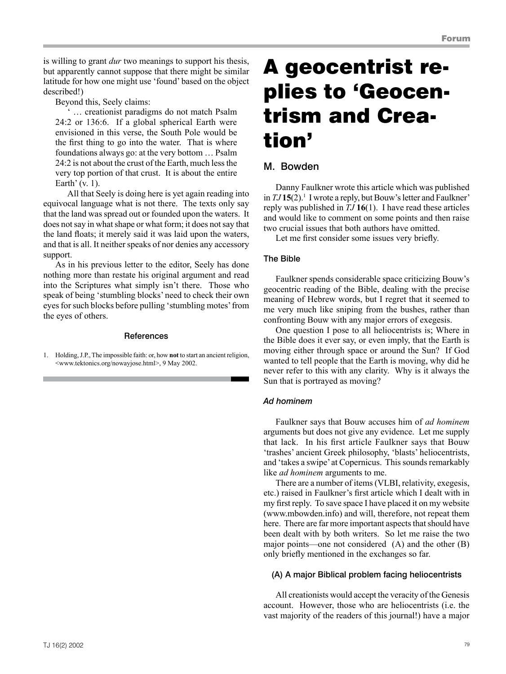is willing to grant *dur* two meanings to support his thesis, but apparently cannot suppose that there might be similar latitude for how one might use 'found' based on the object described!)

Beyond this, Seely claims:

' … creationist paradigms do not match Psalm 24:2 or 136:6. If a global spherical Earth were envisioned in this verse, the South Pole would be the first thing to go into the water. That is where foundations always go: at the very bottom … Psalm 24:2 is not about the crust of the Earth, much less the very top portion of that crust. It is about the entire Earth' (v. 1).

All that Seely is doing here is yet again reading into equivocal language what is not there. The texts only say that the land was spread out or founded upon the waters. It does not say in what shape or what form; it does not say that the land floats; it merely said it was laid upon the waters, and that is all. It neither speaks of nor denies any accessory support.

As in his previous letter to the editor, Seely has done nothing more than restate his original argument and read into the Scriptures what simply isn't there. Those who speak of being 'stumbling blocks' need to check their own eyes for such blocks before pulling 'stumbling motes' from the eyes of others.

#### References

1. Holding, J.P., The impossible faith: or, how **not** to start an ancient religion, <www.tektonics.org/nowayjose.html>, 9 May 2002.

# A geocentrist replies to 'Geocentrism and Creation'

# M. Bowden

Danny Faulkner wrote this article which was published in *TJ* **15**(2).<sup>1</sup> I wrote a reply, but Bouw's letter and Faulkner' reply was published in *TJ* **16**(1). I have read these articles and would like to comment on some points and then raise two crucial issues that both authors have omitted.

Let me first consider some issues very briefly.

## The Bible

Faulkner spends considerable space criticizing Bouw's geocentric reading of the Bible, dealing with the precise meaning of Hebrew words, but I regret that it seemed to me very much like sniping from the bushes, rather than confronting Bouw with any major errors of exegesis.

One question I pose to all heliocentrists is; Where in the Bible does it ever say, or even imply, that the Earth is moving either through space or around the Sun? If God wanted to tell people that the Earth is moving, why did he never refer to this with any clarity. Why is it always the Sun that is portrayed as moving?

## *Ad hominem*

Faulkner says that Bouw accuses him of *ad hominem* arguments but does not give any evidence. Let me supply that lack. In his first article Faulkner says that Bouw 'trashes' ancient Greek philosophy, 'blasts' heliocentrists, and 'takes a swipe' at Copernicus. This sounds remarkably like *ad hominem* arguments to me.

There are a number of items (VLBI, relativity, exegesis, etc.) raised in Faulkner's first article which I dealt with in my first reply. To save space I have placed it on my website (www.mbowden.info) and will, therefore, not repeat them here. There are far more important aspects that should have been dealt with by both writers. So let me raise the two major points—one not considered (A) and the other (B) only briefly mentioned in the exchanges so far.

## (A) A major Biblical problem facing heliocentrists

All creationists would accept the veracity of the Genesis account. However, those who are heliocentrists (i.e. the vast majority of the readers of this journal!) have a major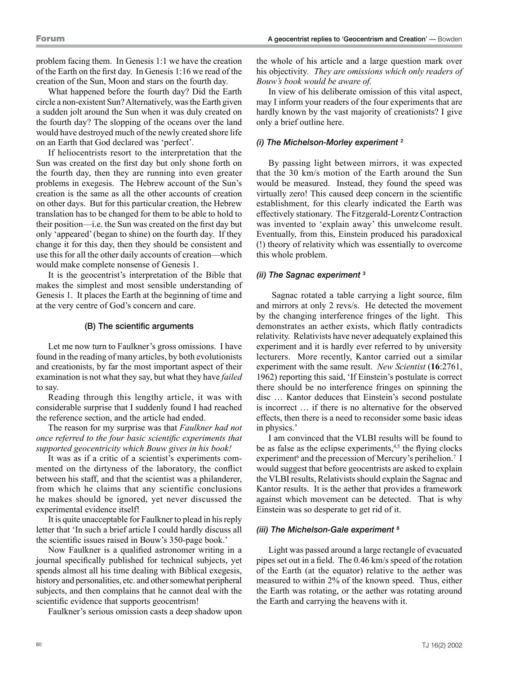problem facing them. In Genesis 1:1 we have the creation of the Earth on the first day. In Genesis 1:16 we read of the creation of the Sun, Moon and stars on the fourth day.

What happened before the fourth day? Did the Earth circle a non-existent Sun? Alternatively, was the Earth given a sudden jolt around the Sun when it was duly created on the fourth day? The slopping of the oceans over the land would have destroyed much of the newly created shore life on an Earth that God declared was 'perfect'.

If heliocentrists resort to the interpretation that the Sun was created on the first day but only shone forth on the fourth day, then they are running into even greater problems in exegesis. The Hebrew account of the Sun's creation is the same as all the other accounts of creation on other days. But for this particular creation, the Hebrew translation has to be changed for them to be able to hold to their position—i.e. the Sun was created on the first day but only 'appeared' (began to shine) on the fourth day. If they change it for this day, then they should be consistent and use this for all the other daily accounts of creation—which would make complete nonsense of Genesis 1.

It is the geocentrist's interpretation of the Bible that makes the simplest and most sensible understanding of Genesis 1. It places the Earth at the beginning of time and at the very centre of God's concern and care.

#### (B) The scientific arguments

Let me now turn to Faulkner's gross omissions. I have found in the reading of many articles, by both evolutionists and creationists, by far the most important aspect of their examination is not what they say, but what they have *failed* to say.

Reading through this lengthy article, it was with considerable surprise that I suddenly found I had reached the reference section, and the article had ended.

The reason for my surprise was that *Faulkner had not once referred to the four basic scientific experiments that supported geocentricity which Bouw gives in his book!*

It was as if a critic of a scientist's experiments commented on the dirtyness of the laboratory, the conflict between his staff, and that the scientist was a philanderer, from which he claims that any scientific conclusions he makes should be ignored, yet never discussed the experimental evidence itself!

It is quite unacceptable for Faulkner to plead in his reply letter that 'In such a brief article I could hardly discuss all the scientific issues raised in Bouw's 350-page book.'

Now Faulkner is a qualified astronomer writing in a journal specifically published for technical subjects, yet spends almost all his time dealing with Biblical exegesis, history and personalities, etc. and other somewhat peripheral subjects, and then complains that he cannot deal with the scientific evidence that supports geocentrism!

Faulkner's serious omission casts a deep shadow upon

the whole of his article and a large question mark over his objectivity*. They are omissions which only readers of Bouw's book would be aware of.* 

In view of his deliberate omission of this vital aspect, may I inform your readers of the four experiments that are hardly known by the vast majority of creationists? I give only a brief outline here.

#### *(i) The Michelson-Morley experiment* <sup>2</sup>

By passing light between mirrors, it was expected that the 30 km/s motion of the Earth around the Sun would be measured. Instead, they found the speed was virtually zero! This caused deep concern in the scientific establishment, for this clearly indicated the Earth was effectively stationary. The Fitzgerald-Lorentz Contraction was invented to 'explain away' this unwelcome result. Eventually, from this, Einstein produced his paradoxical (!) theory of relativity which was essentially to overcome this whole problem.

# *(ii) The Sagnac experiment* <sup>3</sup>

 Sagnac rotated a table carrying a light source, film and mirrors at only 2 revs/s. He detected the movement by the changing interference fringes of the light. This demonstrates an aether exists, which flatly contradicts relativity. Relativists have never adequately explained this experiment and it is hardly ever referred to by university lecturers. More recently, Kantor carried out a similar experiment with the same result. *New Scientist* (**16**:2761, 1962) reporting this said, 'If Einstein's postulate is correct there should be no interference fringes on spinning the disc … Kantor deduces that Einstein's second postulate is incorrect … if there is no alternative for the observed effects, then there is a need to reconsider some basic ideas in physics.'

I am convinced that the VLBI results will be found to be as false as the eclipse experiments, $4,5$  the flying clocks experiment<sup>6</sup> and the precession of Mercury's perihelion.<sup>7</sup> I would suggest that before geocentrists are asked to explain the VLBI results, Relativists should explain the Sagnac and Kantor results. It is the aether that provides a framework against which movement can be detected. That is why Einstein was so desperate to get rid of it.

#### *(iii) The Michelson-Gale experiment* <sup>8</sup>

Light was passed around a large rectangle of evacuated pipes set out in a field. The 0.46 km/s speed of the rotation of the Earth (at the equator) relative to the aether was measured to within 2% of the known speed. Thus, either the Earth was rotating, or the aether was rotating around the Earth and carrying the heavens with it.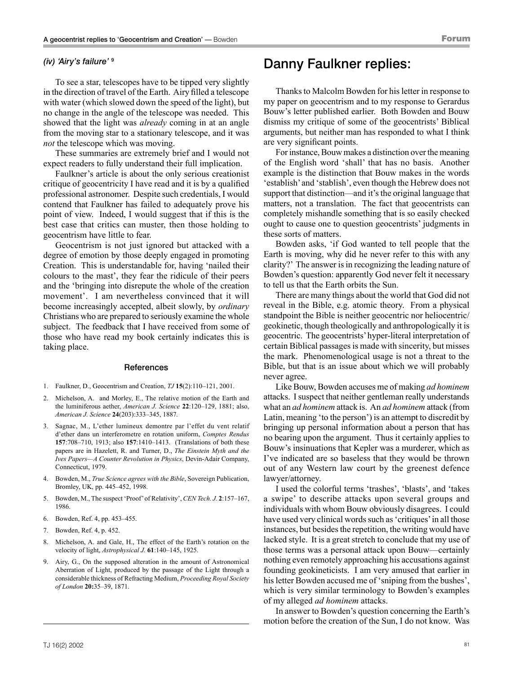#### *(iv) 'Airy's failure'* <sup>9</sup>

To see a star, telescopes have to be tipped very slightly in the direction of travel of the Earth. Airy filled a telescope with water (which slowed down the speed of the light), but no change in the angle of the telescope was needed. This showed that the light was *already* coming in at an angle from the moving star to a stationary telescope, and it was *not* the telescope which was moving.

These summaries are extremely brief and I would not expect readers to fully understand their full implication.

Faulkner's article is about the only serious creationist critique of geocentricity I have read and it is by a qualified professional astronomer. Despite such credentials, I would contend that Faulkner has failed to adequately prove his point of view. Indeed, I would suggest that if this is the best case that critics can muster, then those holding to geocentrism have little to fear.

Geocentrism is not just ignored but attacked with a degree of emotion by those deeply engaged in promoting Creation. This is understandable for, having 'nailed their colours to the mast', they fear the ridicule of their peers and the 'bringing into disrepute the whole of the creation movement'. I am nevertheless convinced that it will become increasingly accepted, albeit slowly, by *ordinary* Christians who are prepared to seriously examine the whole subject. The feedback that I have received from some of those who have read my book certainly indicates this is taking place.

#### **References**

- 1. Faulkner, D., Geocentrism and Creation, *TJ* **15**(2):110–121, 2001.
- 2. Michelson, A. and Morley, E., The relative motion of the Earth and the luminiferous aether, *American J. Science* **22**:120–129, 1881; also, *American J. Science* **24**(203):333–345, 1887*.*
- 3. Sagnac, M., L'ether lumineux demontre par l'effet du vent relatif d'ether dans un interferometre en rotation uniform, *Comptes Rendus* **157**:708–710, 1913; also **157**:1410–1413. (Translations of both these papers are in Hazelett, R. and Turner, D., *The Einstein Myth and the Ives Papers—A Counter Revolution in Physics*, Devin-Adair Company, Connecticut, 1979.
- 4. Bowden, M., *True Science agrees with the Bible*, Sovereign Publication, Bromley, UK, pp. 445–452, 1998.
- 5. Bowden, M., The suspect 'Proof' of Relativity', *CEN Tech. J.* **2**:157–167, 1986.
- 6. Bowden, Ref. 4, pp. 453–455.
- 7. Bowden, Ref. 4, p. 452.
- 8. Michelson, A. and Gale, H., The effect of the Earth's rotation on the velocity of light, *Astrophysical J.* **61**:140–145, 1925.
- 9. Airy, G., On the supposed alteration in the amount of Astronomical Aberration of Light, produced by the passage of the Light through a considerable thickness of Refracting Medium, *Proceeding Royal Society of London* **20:**35–39, 1871.

# Danny Faulkner replies:

Thanks to Malcolm Bowden for his letter in response to my paper on geocentrism and to my response to Gerardus Bouw's letter published earlier. Both Bowden and Bouw dismiss my critique of some of the geocentrists' Biblical arguments, but neither man has responded to what I think are very significant points.

For instance, Bouw makes a distinction over the meaning of the English word 'shall' that has no basis. Another example is the distinction that Bouw makes in the words 'establish' and 'stablish', even though the Hebrew does not support that distinction—and it's the original language that matters, not a translation. The fact that geocentrists can completely mishandle something that is so easily checked ought to cause one to question geocentrists' judgments in these sorts of matters.

Bowden asks, 'if God wanted to tell people that the Earth is moving, why did he never refer to this with any clarity?' The answer is in recognizing the leading nature of Bowden's question: apparently God never felt it necessary to tell us that the Earth orbits the Sun.

There are many things about the world that God did not reveal in the Bible, e.g. atomic theory. From a physical standpoint the Bible is neither geocentric nor heliocentric/ geokinetic, though theologically and anthropologically it is geocentric. The geocentrists' hyper-literal interpretation of certain Biblical passages is made with sincerity, but misses the mark. Phenomenological usage is not a threat to the Bible, but that is an issue about which we will probably never agree.

Like Bouw, Bowden accuses me of making *ad hominem* attacks. I suspect that neither gentleman really understands what an *ad hominem* attack is. An *ad hominem* attack (from Latin, meaning 'to the person') is an attempt to discredit by bringing up personal information about a person that has no bearing upon the argument. Thus it certainly applies to Bouw's insinuations that Kepler was a murderer, which as I've indicated are so baseless that they would be thrown out of any Western law court by the greenest defence lawyer/attorney.

I used the colorful terms 'trashes', 'blasts', and 'takes a swipe' to describe attacks upon several groups and individuals with whom Bouw obviously disagrees. I could have used very clinical words such as 'critiques' in all those instances, but besides the repetition, the writing would have lacked style. It is a great stretch to conclude that my use of those terms was a personal attack upon Bouw—certainly nothing even remotely approaching his accusations against founding geokineticists. I am very amused that earlier in his letter Bowden accused me of 'sniping from the bushes', which is very similar terminology to Bowden's examples of my alleged *ad hominem* attacks.

In answer to Bowden's question concerning the Earth's motion before the creation of the Sun, I do not know. Was